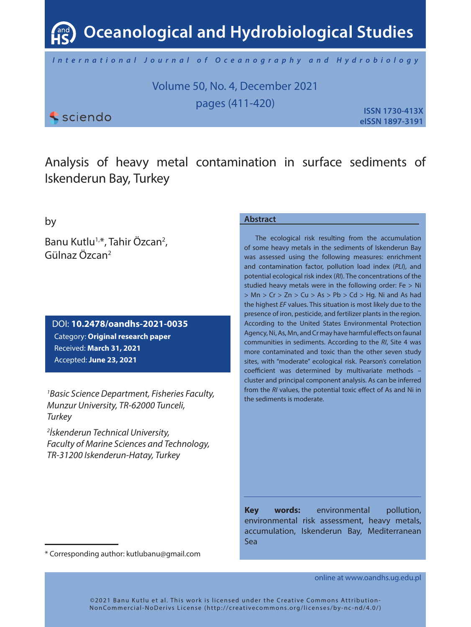**Oceanological and Hydrobiological Studies**

*International Journal of Oceanography and Hydrobiology*

Volume 50, No. 4, December 2021 pages (411-420)

*<u>Sciendo</u>* 

**ISSN 1730-413X eISSN 1897-3191**

Analysis of heavy metal contamination in surface sediments of Iskenderun Bay, Turkey

by

Banu Kutlu<sup>1,</sup>\*, Tahir Özcan<sup>2</sup>, Gülnaz Özcan2

DOI: **10.2478/oandhs-2021-0035** Category: **Original research paper** Received: **March 31, 2021** Accepted: **June 23, 2021**

*1 Basic Science Department, Fisheries Faculty, Munzur University, TR-62000 Tunceli, Turkey*

*2 İskenderun Technical University, Faculty of Marine Sciences and Technology, TR-31200 Iskenderun-Hatay, Turkey*

## **Abstract**

The ecological risk resulting from the accumulation of some heavy metals in the sediments of Iskenderun Bay was assessed using the following measures: enrichment and contamination factor, pollution load index (*PLI*), and potential ecological risk index (*RI*). The concentrations of the studied heavy metals were in the following order: Fe > Ni  $> Mn > Cr > Zn > Cu > As > Pb > Cd > Hq$ . Ni and As had the highest *EF* values. This situation is most likely due to the presence of iron, pesticide, and fertilizer plants in the region. According to the United States Environmental Protection Agency, Ni, As, Mn, and Cr may have harmful effects on faunal communities in sediments. According to the *RI*, Site 4 was more contaminated and toxic than the other seven study sites, with "moderate" ecological risk. Pearson's correlation coefficient was determined by multivariate methods – cluster and principal component analysis. As can be inferred from the *RI* values, the potential toxic effect of As and Ni in the sediments is moderate.

**Key words:** environmental pollution, environmental risk assessment, heavy metals, accumulation, Iskenderun Bay, Mediterranean Sea

online at www.oandhs.ug.edu.pl

<sup>\*</sup> Corresponding author: kutlubanu@gmail.com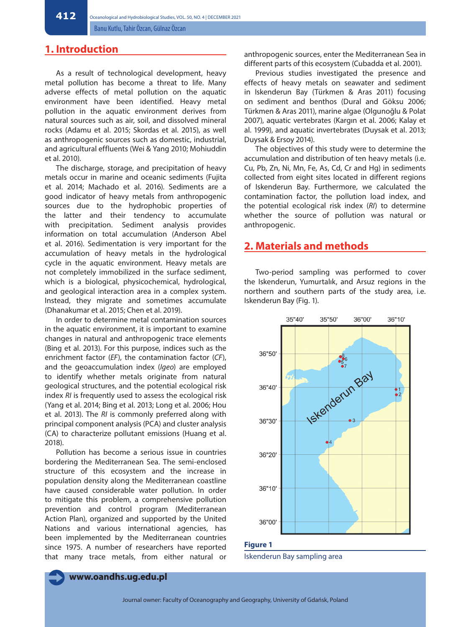**412**

Banu Kutlu, Tahir Özcan, Gülnaz Özcan

# **1. Introduction**

As a result of technological development, heavy metal pollution has become a threat to life. Many adverse effects of metal pollution on the aquatic environment have been identified. Heavy metal pollution in the aquatic environment derives from natural sources such as air, soil, and dissolved mineral rocks (Adamu et al. 2015; Skordas et al. 2015), as well as anthropogenic sources such as domestic, industrial, and agricultural effluents (Wei & Yang 2010; Mohiuddin et al. 2010).

The discharge, storage, and precipitation of heavy metals occur in marine and oceanic sediments (Fujita et al. 2014; Machado et al. 2016). Sediments are a good indicator of heavy metals from anthropogenic sources due to the hydrophobic properties of the latter and their tendency to accumulate with precipitation. Sediment analysis provides information on total accumulation (Anderson Abel et al. 2016). Sedimentation is very important for the accumulation of heavy metals in the hydrological cycle in the aquatic environment. Heavy metals are not completely immobilized in the surface sediment, which is a biological, physicochemical, hydrological, and geological interaction area in a complex system. Instead, they migrate and sometimes accumulate (Dhanakumar et al. 2015; Chen et al. 2019).

In order to determine metal contamination sources in the aquatic environment, it is important to examine changes in natural and anthropogenic trace elements (Bing et al. 2013). For this purpose, indices such as the enrichment factor (*EF*), the contamination factor (*CF*), and the geoaccumulation index (*Igeo*) are employed to identify whether metals originate from natural geological structures, and the potential ecological risk index *RI* is frequently used to assess the ecological risk (Yang et al. 2014; Bing et al. 2013; Long et al. 2006; Hou et al. 2013). The *RI* is commonly preferred along with principal component analysis (PCA) and cluster analysis (CA) to characterize pollutant emissions (Huang et al. 2018).

Pollution has become a serious issue in countries bordering the Mediterranean Sea. The semi-enclosed structure of this ecosystem and the increase in population density along the Mediterranean coastline have caused considerable water pollution. In order to mitigate this problem, a comprehensive pollution prevention and control program (Mediterranean Action Plan), organized and supported by the United Nations and various international agencies, has been implemented by the Mediterranean countries since 1975. A number of researchers have reported that many trace metals, from either natural or anthropogenic sources, enter the Mediterranean Sea in different parts of this ecosystem (Cubadda et al. 2001).

Previous studies investigated the presence and effects of heavy metals on seawater and sediment in Iskenderun Bay (Türkmen & Aras 2011) focusing on sediment and benthos (Dural and Göksu 2006; Türkmen & Aras 2011), marine algae (Olgunoğlu & Polat 2007), aquatic vertebrates (Kargın et al. 2006; Kalay et al. 1999), and aquatic invertebrates (Duysak et al. 2013; Duysak & Ersoy 2014).

The objectives of this study were to determine the accumulation and distribution of ten heavy metals (i.e. Cu, Pb, Zn, Ni, Mn, Fe, As, Cd, Cr and Hg) in sediments collected from eight sites located in different regions of Iskenderun Bay. Furthermore, we calculated the contamination factor, the pollution load index, and the potential ecological risk index (*RI*) to determine whether the source of pollution was natural or anthropogenic.

# **2. Materials and methods**

Two-period sampling was performed to cover the Iskenderun, Yumurtalık, and Arsuz regions in the northern and southern parts of the study area, i.e. Iskenderun Bay (Fig. 1).



**Figure 1** Iskenderun Bay sampling area

**www.oandhs.ug.edu.pl**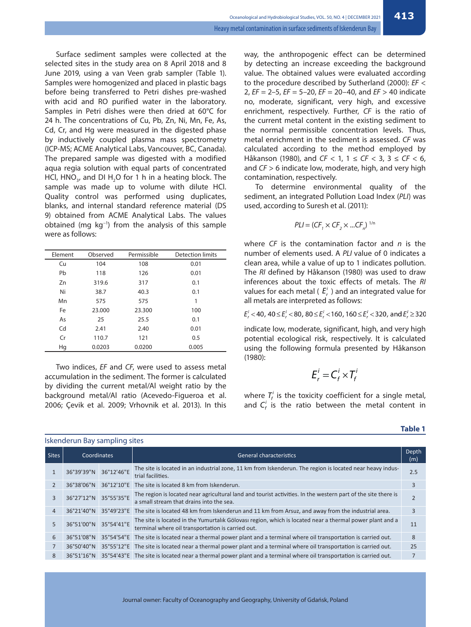Surface sediment samples were collected at the selected sites in the study area on 8 April 2018 and 8 June 2019, using a van Veen grab sampler (Table 1). Samples were homogenized and placed in plastic bags before being transferred to Petri dishes pre-washed with acid and RO purified water in the laboratory. Samples in Petri dishes were then dried at 60°C for 24 h. The concentrations of Cu, Pb, Zn, Ni, Mn, Fe, As, Cd, Cr, and Hg were measured in the digested phase by inductively coupled plasma mass spectrometry (ICP-MS; ACME Analytical Labs, Vancouver, BC, Canada). The prepared sample was digested with a modified aqua regia solution with equal parts of concentrated HCl,  $HNO<sub>3</sub>$ , and DI H<sub>2</sub>O for 1 h in a heating block. The sample was made up to volume with dilute HCl. Quality control was performed using duplicates, blanks, and internal standard reference material (DS 9) obtained from ACME Analytical Labs. The values obtained (mg kg−1) from the analysis of this sample were as follows:

| Element | Observed | Permissible | <b>Detection limits</b> |
|---------|----------|-------------|-------------------------|
| Cu      | 104      | 108         | 0.01                    |
| Pb      | 118      | 126         | 0.01                    |
| Zn      | 319.6    | 317         | 0.1                     |
| Ni      | 38.7     | 40.3        | 0.1                     |
| Mn      | 575      | 575         | 1                       |
| Fe      | 23,000   | 23.300      | 100                     |
| As      | 25       | 25.5        | 0.1                     |
| Cd      | 2.41     | 2.40        | 0.01                    |
| Cr      | 110.7    | 121         | 0.5                     |
| Hg      | 0.0203   | 0.0200      | 0.005                   |

Two indices, *EF* and *CF*, were used to assess metal accumulation in the sediment. The former is calculated by dividing the current metal/Al weight ratio by the background metal/Al ratio (Acevedo-Figueroa et al. 2006; Çevik et al. 2009; Vrhovnik et al. 2013). In this

Iskenderun Bay sampling sites

way, the anthropogenic effect can be determined by detecting an increase exceeding the background value. The obtained values were evaluated according to the procedure described by Sutherland (2000): *EF* < 2, *EF* = 2–5, *EF* = 5–20, *EF* = 20–40, and *EF* > 40 indicate no, moderate, significant, very high, and excessive enrichment, respectively. Further, *CF* is the ratio of the current metal content in the existing sediment to the normal permissible concentration levels. Thus, metal enrichment in the sediment is assessed. *CF* was calculated according to the method employed by Håkanson (1980), and *CF* < 1, 1 ≤ *CF* < 3, 3 ≤ *CF* < 6, and *CF* > 6 indicate low, moderate, high, and very high contamination, respectively.

To determine environmental quality of the sediment, an integrated Pollution Load Index (*PLI*) was used, according to Suresh et al. (2011):

$$
PLI = (CF_1 \times CF_2 \times ...CF_n)^{1/n}
$$

where *CF* is the contamination factor and *n* is the number of elements used. A *PLI* value of 0 indicates a clean area, while a value of up to 1 indicates pollution. The *RI* defined by Håkanson (1980) was used to draw inferences about the toxic effects of metals. The *RI* values for each metal ( $E_r^i$ ) and an integrated value for all metals are interpreted as follows:

 $E_r'$  < 40, 40  $\leq E_r'$  < 80, 80  $\leq E_r'$  < 160, 160  $\leq E_r'$  < 320, and  $E_r' \geq 320$ 

indicate low, moderate, significant, high, and very high potential ecological risk, respectively. It is calculated using the following formula presented by Håkanson (1980):

$$
E_r^i = C_f^i \times T_f^i
$$

where  $T_f^i$  is the toxicity coefficient for a single metal, and  $C_f^i$  is the ratio between the metal content in

| Sites          | Coordinates           |            | <b>General characteristics</b>                                                                                                                                |     |  |  |  |  |  |  |  |
|----------------|-----------------------|------------|---------------------------------------------------------------------------------------------------------------------------------------------------------------|-----|--|--|--|--|--|--|--|
|                | 36°39'39"N            | 36°12'46"E | The site is located in an industrial zone, 11 km from Iskenderun. The region is located near heavy indus-<br>trial facilities.                                | 2.5 |  |  |  |  |  |  |  |
| $\overline{2}$ | 36°38'06"N            |            | 36°12′10″E The site is located 8 km from Iskenderun.                                                                                                          | 3   |  |  |  |  |  |  |  |
| 3              | 36°27'12"N 35°55'35"E |            | The region is located near agricultural land and tourist activities. In the western part of the site there is<br>a small stream that drains into the sea.     |     |  |  |  |  |  |  |  |
| $\overline{4}$ | 36°21'40"N            |            | 35°49′23″E The site is located 48 km from Iskenderun and 11 km from Arsuz, and away from the industrial area.                                                 | 3   |  |  |  |  |  |  |  |
| 5              | 36°51'00"N            | 35°54'41"E | The site is located in the Yumurtalik Gölovasi region, which is located near a thermal power plant and a<br>terminal where oil transportation is carried out. | 11  |  |  |  |  |  |  |  |
| 6              | 36°51'08"N            |            | 35°54'54'E The site is located near a thermal power plant and a terminal where oil transportation is carried out.                                             | 8   |  |  |  |  |  |  |  |
|                | 36°50'40"N            |            | 35°55′12″E The site is located near a thermal power plant and a terminal where oil transportation is carried out.                                             | 25  |  |  |  |  |  |  |  |
| 8              | 36°51'16"N            |            | 35°54'43"E The site is located near a thermal power plant and a terminal where oil transportation is carried out.                                             |     |  |  |  |  |  |  |  |
|                |                       |            |                                                                                                                                                               |     |  |  |  |  |  |  |  |

**Table 1**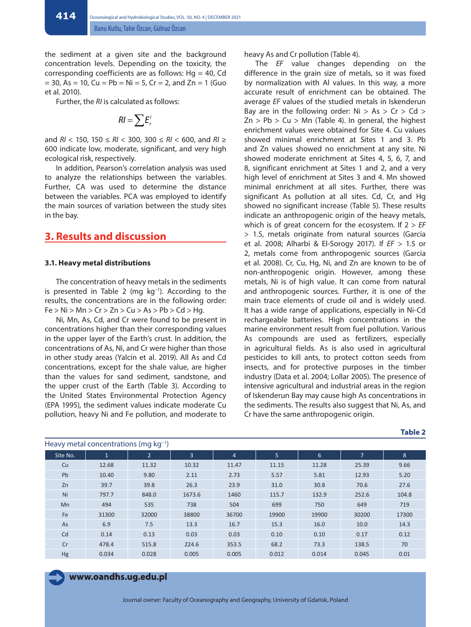the sediment at a given site and the background concentration levels. Depending on the toxicity, the corresponding coefficients are as follows:  $Hq = 40$ , Cd  $= 30$ , As  $= 10$ , Cu  $= Pb = Ni = 5$ , Cr  $= 2$ , and Zn  $= 1$  (Guo et al. 2010).

Further, the *RI* is calculated as follows:

$$
RI=\sum E_r^i
$$

and *RI* < 150, 150 ≤ *RI* < 300, 300 ≤ *RI* < 600, and *RI* ≥ 600 indicate low, moderate, significant, and very high ecological risk, respectively.

In addition, Pearson's correlation analysis was used to analyze the relationships between the variables. Further, CA was used to determine the distance between the variables. PCA was employed to identify the main sources of variation between the study sites in the bay.

# **3. Results and discussion**

#### **3.1. Heavy metal distributions**

The concentration of heavy metals in the sediments is presented in Table 2 (mg kg−1). According to the results, the concentrations are in the following order:  $Fe > Ni > Mn > Cr > Zn > Cu > As > Pb > Cd > Hg.$ 

Ni, Mn, As, Cd, and Cr were found to be present in concentrations higher than their corresponding values in the upper layer of the Earth's crust. In addition, the concentrations of As, Ni, and Cr were higher than those in other study areas (Yalcin et al. 2019). All As and Cd concentrations, except for the shale value, are higher than the values for sand sediment, sandstone, and the upper crust of the Earth (Table 3). According to the United States Environmental Protection Agency (EPA 1995), the sediment values indicate moderate Cu pollution, heavy Ni and Fe pollution, and moderate to

heavy As and Cr pollution (Table 4).

The *EF* value changes depending on the difference in the grain size of metals, so it was fixed by normalization with Al values. In this way, a more accurate result of enrichment can be obtained. The average *EF* values of the studied metals in Iskenderun Bay are in the following order:  $Ni > As > Cr > Cd >$  $Zn > Pb > Cu > Mn$  (Table 4). In general, the highest enrichment values were obtained for Site 4. Cu values showed minimal enrichment at Sites 1 and 3. Pb and Zn values showed no enrichment at any site. Ni showed moderate enrichment at Sites 4, 5, 6, 7, and 8, significant enrichment at Sites 1 and 2, and a very high level of enrichment at Sites 3 and 4. Mn showed minimal enrichment at all sites. Further, there was significant As pollution at all sites. Cd, Cr, and Hg showed no significant increase (Table 5). These results indicate an anthropogenic origin of the heavy metals, which is of great concern for the ecosystem. If 2 > *EF* > 1.5, metals originate from natural sources (Garcia et al. 2008; Alharbi & El-Sorogy 2017). If *EF* > 1.5 or 2, metals come from anthropogenic sources (Garcia et al. 2008). Cr, Cu, Hg, Ni, and Zn are known to be of non-anthropogenic origin. However, among these metals, Ni is of high value. It can come from natural and anthropogenic sources. Further, it is one of the main trace elements of crude oil and is widely used. It has a wide range of applications, especially in Ni-Cd rechargeable batteries. High concentrations in the marine environment result from fuel pollution. Various As compounds are used as fertilizers, especially in agricultural fields. As is also used in agricultural pesticides to kill ants, to protect cotton seeds from insects, and for protective purposes in the timber industry (Data et al. 2004; Lollar 2005). The presence of intensive agricultural and industrial areas in the region of Iskenderun Bay may cause high As concentrations in the sediments. The results also suggest that Ni, As, and Cr have the same anthropogenic origin.

**Table 2**

| <b>I IGAVY ILIGRAL COLICETTURIOUS (THY NY 1</b> |              |                |                |                |       |                 |                |       |  |  |
|-------------------------------------------------|--------------|----------------|----------------|----------------|-------|-----------------|----------------|-------|--|--|
| Site No.                                        | $\mathbf{1}$ | $\overline{2}$ | $\overline{3}$ | $\overline{4}$ | 5     | $6\overline{6}$ | $\overline{7}$ | 8     |  |  |
| Cu                                              | 12.68        | 11.32          | 10.32          | 11.47          | 11.15 | 11.28           | 25.39          | 9.66  |  |  |
| Pb                                              | 10.40        | 9.80           | 2.11           | 2.73           | 5.57  | 5.81            | 12.93          | 5.20  |  |  |
| Zn                                              | 39.7         | 39.8           | 26.3           | 23.9           | 31.0  | 30.8            | 70.6           | 27.6  |  |  |
| Ni                                              | 797.7        | 848.0          | 1673.6         | 1460           | 115.7 | 132.9           | 252.6          | 104.8 |  |  |
| Mn                                              | 494          | 535            | 738            | 504            | 699   | 750             | 649            | 719   |  |  |
| Fe                                              | 31300        | 32000          | 38800          | 36700          | 19900 | 19900           | 30200          | 17300 |  |  |
| As                                              | 6.9          | 7.5            | 13.3           | 16.7           | 15.3  | 16.0            | 10.0           | 14.3  |  |  |
| Cd                                              | 0.14         | 0.13           | 0.03           | 0.03           | 0.10  | 0.10            | 0.17           | 0.12  |  |  |
| Cr                                              | 478.4        | 515.8          | 224.6          | 353.5          | 68.2  | 73.3            | 138.5          | 70    |  |  |
| Hg                                              | 0.034        | 0.028          | 0.005          | 0.005          | 0.012 | 0.014           | 0.045          | 0.01  |  |  |

### **www.oandhs.ug.edu.pl**

Heavy metal concentrations (mg kg−1)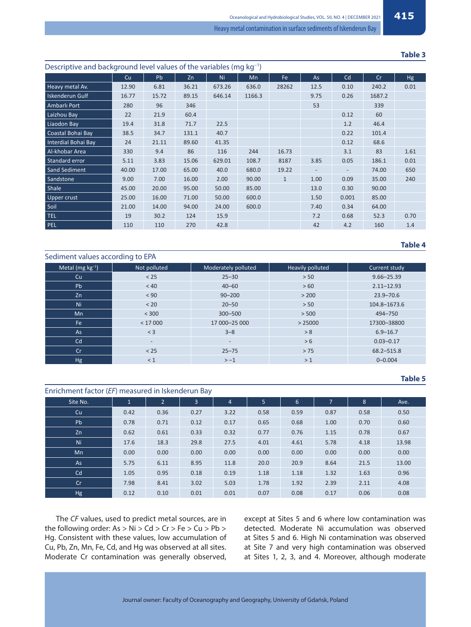**Table 3**

| Descriptive and background level values of the variables (mg kg <sup>-1</sup> ) |       |       |       |        |        |              |      |       |        |           |
|---------------------------------------------------------------------------------|-------|-------|-------|--------|--------|--------------|------|-------|--------|-----------|
|                                                                                 | Cu    | Pb    | Zn    | Ni     | Mn     | Fe           | As   | Cd    | Cr     | <b>Hg</b> |
| Heavy metal Av.                                                                 | 12.90 | 6.81  | 36.21 | 673.26 | 636.0  | 28262        | 12.5 | 0.10  | 240.2  | 0.01      |
| Iskenderun Gulf                                                                 | 16.77 | 15.72 | 89.15 | 646.14 | 1166.3 |              | 9.75 | 0.26  | 1687.2 |           |
| Ambarlı Port                                                                    | 280   | 96    | 346   |        |        |              | 53   |       | 339    |           |
| Laizhou Bav                                                                     | 22    | 21.9  | 60.4  |        |        |              |      | 0.12  | 60     |           |
| Liaodon Bay                                                                     | 19.4  | 31.8  | 71.7  | 22.5   |        |              |      | 1.2   | 46.4   |           |
| Coastal Bohai Bay                                                               | 38.5  | 34.7  | 131.1 | 40.7   |        |              |      | 0.22  | 101.4  |           |
| Interdial Bohai Bay                                                             | 24    | 21.11 | 89.60 | 41.35  |        |              |      | 0.12  | 68.6   |           |
| Al-khobar Area                                                                  | 330   | 9.4   | 86    | 116    | 244    | 16.73        |      | 3.1   | 83     | 1.61      |
| Standard error                                                                  | 5.11  | 3.83  | 15.06 | 629.01 | 108.7  | 8187         | 3.85 | 0.05  | 186.1  | 0.01      |
| Sand Sediment                                                                   | 40.00 | 17.00 | 65.00 | 40.0   | 680.0  | 19.22        |      |       | 74.00  | 650       |
| Sandstone                                                                       | 9.00  | 7.00  | 16.00 | 2.00   | 90.00  | $\mathbf{1}$ | 1.00 | 0.09  | 35.00  | 240       |
| Shale                                                                           | 45.00 | 20.00 | 95.00 | 50.00  | 85.00  |              | 13.0 | 0.30  | 90.00  |           |
| Upper crust                                                                     | 25.00 | 16.00 | 71.00 | 50.00  | 600.0  |              | 1.50 | 0.001 | 85.00  |           |
| Soil                                                                            | 21.00 | 14.00 | 94.00 | 24.00  | 600.0  |              | 7.40 | 0.34  | 64.00  |           |
| <b>TEL</b>                                                                      | 19    | 30.2  | 124   | 15.9   |        |              | 7.2  | 0.68  | 52.3   | 0.70      |
| PEL                                                                             | 110   | 110   | 270   | 42.8   |        |              | 42   | 4.2   | 160    | 1.4       |

## **Table 4**

| Sediment values according to EPA |                   |                          |                  |                |  |  |  |  |  |
|----------------------------------|-------------------|--------------------------|------------------|----------------|--|--|--|--|--|
| Metal ( $mg \, kg^{-1}$ )        | Not polluted      | Moderately polluted      | Heavily polluted | Current study  |  |  |  |  |  |
| Cu                               | $< 25$            | $25 - 30$                | > 50             | $9.66 - 25.39$ |  |  |  |  |  |
| Pb                               | < 40              | $40 - 60$                | > 60             | $2.11 - 12.93$ |  |  |  |  |  |
| Zn                               | < 90              | $90 - 200$               | > 200            | $23.9 - 70.6$  |  |  |  |  |  |
| Ni                               | < 20              | $20 - 50$                | > 50             | 104.8-1673.6   |  |  |  |  |  |
| Mn                               | < 300             | $300 - 500$              | > 500            | 494-750        |  |  |  |  |  |
| Fe                               | < 17000           | 17 000-25 000            | > 25000          | 17300-38800    |  |  |  |  |  |
| As                               | $<$ 3             | $3 - 8$                  | > 8              | $6.9 - 16.7$   |  |  |  |  |  |
| Cd                               | $\qquad \qquad -$ | $\overline{\phantom{a}}$ | > 6              | $0.03 - 0.17$  |  |  |  |  |  |
| Cr                               | $< 25$            | $25 - 75$                | > 75             | 68.2-515.8     |  |  |  |  |  |
| Hg                               | < 1               | $> -1$                   | >1               | $0 - 0.004$    |  |  |  |  |  |

#### **Table 5**

| Enrichment factor (EF) measured in Iskenderun Bay |              |                |      |                |      |      |      |      |       |
|---------------------------------------------------|--------------|----------------|------|----------------|------|------|------|------|-------|
| Site No.                                          | $\mathbf{1}$ | $\overline{2}$ | 3    | $\overline{4}$ | 5    | 6    | 7    | 8    | Ave.  |
| Cu                                                | 0.42         | 0.36           | 0.27 | 3.22           | 0.58 | 0.59 | 0.87 | 0.58 | 0.50  |
| Pb                                                | 0.78         | 0.71           | 0.12 | 0.17           | 0.65 | 0.68 | 1.00 | 0.70 | 0.60  |
| Zn                                                | 0.62         | 0.61           | 0.33 | 0.32           | 0.77 | 0.76 | 1.15 | 0.78 | 0.67  |
| Ni l                                              | 17.6         | 18.3           | 29.8 | 27.5           | 4.01 | 4.61 | 5.78 | 4.18 | 13.98 |
| Mn                                                | 0.00         | 0.00           | 0.00 | 0.00           | 0.00 | 0.00 | 0.00 | 0.00 | 0.00  |
| As                                                | 5.75         | 6.11           | 8.95 | 11.8           | 20.0 | 20.9 | 8.64 | 21.5 | 13.00 |
| Cd                                                | 1.05         | 0.95           | 0.18 | 0.19           | 1.18 | 1.18 | 1.32 | 1.63 | 0.96  |
| Cr                                                | 7.98         | 8.41           | 3.02 | 5.03           | 1.78 | 1.92 | 2.39 | 2.11 | 4.08  |
| Hg                                                | 0.12         | 0.10           | 0.01 | 0.01           | 0.07 | 0.08 | 0.17 | 0.06 | 0.08  |

The *CF* values, used to predict metal sources, are in the following order: As > Ni > Cd > Cr > Fe > Cu > Pb > Hg. Consistent with these values, low accumulation of Cu, Pb, Zn, Mn, Fe, Cd, and Hg was observed at all sites. Moderate Cr contamination was generally observed, except at Sites 5 and 6 where low contamination was detected. Moderate Ni accumulation was observed at Sites 5 and 6. High Ni contamination was observed at Site 7 and very high contamination was observed at Sites 1, 2, 3, and 4. Moreover, although moderate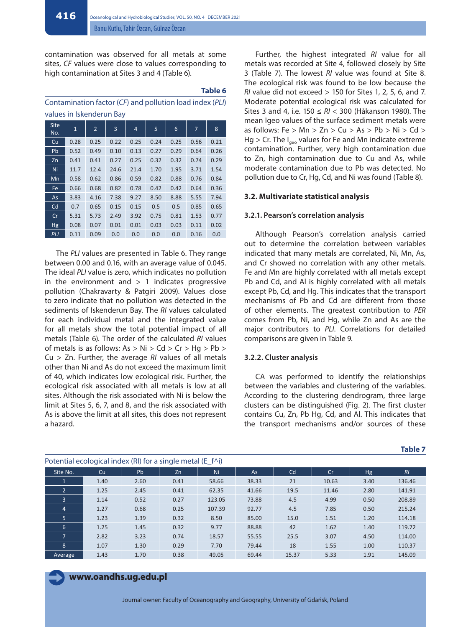contamination was observed for all metals at some sites, *CF* values were close to values corresponding to high contamination at Sites 3 and 4 (Table 6).

#### **Table 6**

Contamination factor (*CF*) and pollution load index (*PLI*) values in Iskenderun Bay

| <b>Site</b><br>No. | $\mathbf{1}$ | $\overline{2}$ | 3    | 4    | 5    | 6    | 7    | 8    |
|--------------------|--------------|----------------|------|------|------|------|------|------|
| Cu                 | 0.28         | 0.25           | 0.22 | 0.25 | 0.24 | 0.25 | 0.56 | 0.21 |
| Pb                 | 0.52         | 0.49           | 0.10 | 0.13 | 0.27 | 0.29 | 0.64 | 0.26 |
| Zn                 | 0.41         | 0.41           | 0.27 | 0.25 | 0.32 | 0.32 | 0.74 | 0.29 |
| Ni                 | 11.7         | 12.4           | 24.6 | 21.4 | 1.70 | 1.95 | 3.71 | 1.54 |
| Mn                 | 0.58         | 0.62           | 0.86 | 0.59 | 0.82 | 0.88 | 0.76 | 0.84 |
| Fe                 | 0.66         | 0.68           | 0.82 | 0.78 | 0.42 | 0.42 | 0.64 | 0.36 |
| As                 | 3.83         | 4.16           | 7.38 | 9.27 | 8.50 | 8.88 | 5.55 | 7.94 |
| Cd                 | 0.7          | 0.65           | 0.15 | 0.15 | 0.5  | 0.5  | 0.85 | 0.65 |
| Cr                 | 5.31         | 5.73           | 2.49 | 3.92 | 0.75 | 0.81 | 1.53 | 0.77 |
| <b>Hg</b>          | 0.08         | 0.07           | 0.01 | 0.01 | 0.03 | 0.03 | 0.11 | 0.02 |
| PLI                | 0.11         | 0.09           | 0.0  | 0.0  | 0.0  | 0.0  | 0.16 | 0.0  |

The *PLI* values are presented in Table 6. They range between 0.00 and 0.16, with an average value of 0.045. The ideal *PLI* value is zero, which indicates no pollution in the environment and  $> 1$  indicates progressive pollution (Chakravarty & Patgiri 2009). Values close to zero indicate that no pollution was detected in the sediments of Iskenderun Bay. The *RI* values calculated for each individual metal and the integrated value for all metals show the total potential impact of all metals (Table 6). The order of the calculated *RI* values of metals is as follows:  $As > Ni > Cd > Cr > Hq > Pb >$ Cu > Zn. Further, the average *RI* values of all metals other than Ni and As do not exceed the maximum limit of 40, which indicates low ecological risk. Further, the ecological risk associated with all metals is low at all sites. Although the risk associated with Ni is below the limit at Sites 5, 6, 7, and 8, and the risk associated with As is above the limit at all sites, this does not represent a hazard.

Further, the highest integrated *RI* value for all metals was recorded at Site 4, followed closely by Site 3 (Table 7). The lowest *RI* value was found at Site 8. The ecological risk was found to be low because the *RI* value did not exceed > 150 for Sites 1, 2, 5, 6, and 7. Moderate potential ecological risk was calculated for Sites 3 and 4, i.e. 150 ≤ *RI* < 300 (Håkanson 1980). The mean Igeo values of the surface sediment metals were as follows: Fe  $> Mn > Zn > Cu > As > Pb > Ni > Cd >$  $Hg > Cr$ . The I<sub>geo</sub> values for Fe and Mn indicate extreme contamination. Further, very high contamination due to Zn, high contamination due to Cu and As, while moderate contamination due to Pb was detected. No pollution due to Cr, Hg, Cd, and Ni was found (Table 8).

#### **3.2. Multivariate statistical analysis**

#### **3.2.1. Pearson's correlation analysis**

Although Pearson's correlation analysis carried out to determine the correlation between variables indicated that many metals are correlated, Ni, Mn, As, and Cr showed no correlation with any other metals. Fe and Mn are highly correlated with all metals except Pb and Cd, and Al is highly correlated with all metals except Pb, Cd, and Hg. This indicates that the transport mechanisms of Pb and Cd are different from those of other elements. The greatest contribution to *PER* comes from Pb, Ni, and Hg, while Zn and As are the major contributors to *PLI*. Correlations for detailed comparisons are given in Table 9.

#### **3.2.2. Cluster analysis**

CA was performed to identify the relationships between the variables and clustering of the variables. According to the clustering dendrogram, three large clusters can be distinguished (Fig. 2). The first cluster contains Cu, Zn, Pb Hg, Cd, and Al. This indicates that the transport mechanisms and/or sources of these

| Potential ecological index (RI) for a single metal (E_f^i) |      |      |      |        |       |       |       |           |        |  |
|------------------------------------------------------------|------|------|------|--------|-------|-------|-------|-----------|--------|--|
| Site No.                                                   | Cu   | Pb   | Zn   | Ni     | As    | Cd    | Cr    | <b>Hg</b> | RI     |  |
|                                                            | 1.40 | 2.60 | 0.41 | 58.66  | 38.33 | 21    | 10.63 | 3.40      | 136.46 |  |
| $\overline{2}$                                             | 1.25 | 2.45 | 0.41 | 62.35  | 41.66 | 19.5  | 11.46 | 2.80      | 141.91 |  |
| $\overline{3}$                                             | 1.14 | 0.52 | 0.27 | 123.05 | 73.88 | 4.5   | 4.99  | 0.50      | 208.89 |  |
| $\overline{4}$                                             | 1.27 | 0.68 | 0.25 | 107.39 | 92.77 | 4.5   | 7.85  | 0.50      | 215.24 |  |
| 5 <sup>1</sup>                                             | 1.23 | 1.39 | 0.32 | 8.50   | 85.00 | 15.0  | 1.51  | 1.20      | 114.18 |  |
| 6                                                          | 1.25 | 1.45 | 0.32 | 9.77   | 88.88 | 42    | 1.62  | 1.40      | 119.72 |  |
|                                                            | 2.82 | 3.23 | 0.74 | 18.57  | 55.55 | 25.5  | 3.07  | 4.50      | 114.00 |  |
| 8                                                          | 1.07 | 1.30 | 0.29 | 7.70   | 79.44 | 18    | 1.55  | 1.00      | 110.37 |  |
| Average                                                    | 1.43 | 1.70 | 0.38 | 49.05  | 69.44 | 15.37 | 5.33  | 1.91      | 145.09 |  |

# **www.oandhs.ug.edu.pl**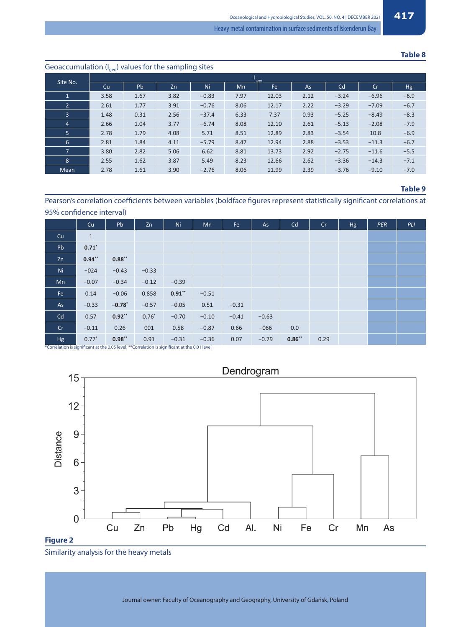#### **Table 8**

## Geoaccumulation  $(I_{\text{geo}})$  values for the sampling sites Site No. Cu | Pb | Zn | Ni | Mn | Fe | As | Cd | Cr | Hg 1 3.58 1.67 3.82 −0.83 7.97 12.03 2.12 −3.24 −6.96 −6.9 2 2.61 1.77 3.91 −0.76 8.06 12.17 2.22 −3.29 −7.09 −6.7 3 1.48 0.31 2.56 −37.4 6.33 7.37 0.93 –5.25 −8.49 −8.3 4 2.66 1.04 3.77 −6.74 8.08 12.10 2.61 –5.13 −2.08 −7.9 5 2.78 1.79 4.08 5.71 8.51 12.89 2.83 –3.54 10.8 −6.9 6 2.81 1.84 4.11 −5.79 8.47 12.94 2.88 −3.53 −11.3 −6.7 7 3.80 2.82 5.06 6.62 8.81 13.73 2.92 −2.75 −11.6 −5.5 8 2.55 1.62 3.87 5.49 8.23 12.66 2.62 −3.36 −14.3 −7.1 Mean 2.78 1.61 3.90 −2.76 8.06 11.99 2.39 −3.76 −9.10 −7.0

#### **Table 9**

Pearson's correlation coefficients between variables (boldface figures represent statistically significant correlations at 95% confidence interval)

|    | Cu                  | Pb       | Zn      | Ni       | Mn      | Fe      | As      | Cd       | Cr   | Hg | PER | PLI |
|----|---------------------|----------|---------|----------|---------|---------|---------|----------|------|----|-----|-----|
| Cu | $1\,$               |          |         |          |         |         |         |          |      |    |     |     |
| Pb | $0.71$ <sup>*</sup> |          |         |          |         |         |         |          |      |    |     |     |
| Zn | $0.94**$            | $0.88**$ |         |          |         |         |         |          |      |    |     |     |
| Ni | $-024$              | $-0.43$  | $-0.33$ |          |         |         |         |          |      |    |     |     |
| Mn | $-0.07$             | $-0.34$  | $-0.12$ | $-0.39$  |         |         |         |          |      |    |     |     |
| Fe | 0.14                | $-0.06$  | 0.858   | $0.91**$ | $-0.51$ |         |         |          |      |    |     |     |
| As | $-0.33$             | $-0.78$  | $-0.57$ | $-0.05$  | 0.51    | $-0.31$ |         |          |      |    |     |     |
| Cd | 0.57                | $0.92**$ | $0.76*$ | $-0.70$  | $-0.10$ | $-0.41$ | $-0.63$ |          |      |    |     |     |
| Cr | $-0.11$             | 0.26     | 001     | 0.58     | $-0.87$ | 0.66    | $-066$  | 0.0      |      |    |     |     |
| Hg | $0.77*$             | $0.98**$ | 0.91    | $-0.31$  | $-0.36$ | 0.07    | $-0.79$ | $0.86**$ | 0.29 |    |     |     |

\*Correlation is signifi cant at the 0.05 level; \*\*Correlation is signifi cant at the 0.01 level



Similarity analysis for the heavy metals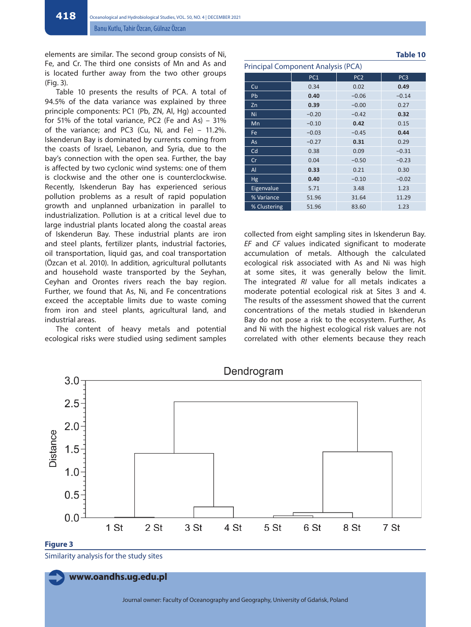elements are similar. The second group consists of Ni, Fe, and Cr. The third one consists of Mn and As and is located further away from the two other groups (Fig. 3).

Table 10 presents the results of PCA. A total of 94.5% of the data variance was explained by three principle components: PC1 (Pb, ZN, Al, Hg) accounted for 51% of the total variance, PC2 (Fe and As) – 31% of the variance; and PC3 (Cu, Ni, and Fe) – 11.2%. Iskenderun Bay is dominated by currents coming from the coasts of Israel, Lebanon, and Syria, due to the bay's connection with the open sea. Further, the bay is affected by two cyclonic wind systems: one of them is clockwise and the other one is counterclockwise. Recently, Iskenderun Bay has experienced serious pollution problems as a result of rapid population growth and unplanned urbanization in parallel to industrialization. Pollution is at a critical level due to large industrial plants located along the coastal areas of Iskenderun Bay. These industrial plants are iron and steel plants, fertilizer plants, industrial factories, oil transportation, liquid gas, and coal transportation (Özcan et al. 2010). In addition, agricultural pollutants and household waste transported by the Seyhan, Ceyhan and Orontes rivers reach the bay region. Further, we found that As, Ni, and Fe concentrations exceed the acceptable limits due to waste coming from iron and steel plants, agricultural land, and industrial areas.

The content of heavy metals and potential ecological risks were studied using sediment samples

| Cu           | 0.34    | 0.02    | 0.49    |
|--------------|---------|---------|---------|
| <b>Pb</b>    | 0.40    | $-0.06$ | $-0.14$ |
| Zn           | 0.39    | $-0.00$ | 0.27    |
| Ni           | $-0.20$ | $-0.42$ | 0.32    |
| Mn           | $-0.10$ | 0.42    | 0.15    |
| Fe           | $-0.03$ | $-0.45$ | 0.44    |
| <b>As</b>    | $-0.27$ | 0.31    | 0.29    |
| Cd           | 0.38    | 0.09    | $-0.31$ |
| Cr           | 0.04    | $-0.50$ | $-0.23$ |
| AI           | 0.33    | 0.21    | 0.30    |
| <b>Hg</b>    | 0.40    | $-0.10$ | $-0.02$ |
| Eigenvalue   | 5.71    | 3.48    | 1.23    |
| % Variance   | 51.96   | 31.64   | 11.29   |
| % Clustering | 51.96   | 83.60   | 1.23    |
|              |         |         |         |

PC1 | PC2 | PC3

Principal Component Analysis (PCA)

collected from eight sampling sites in Iskenderun Bay. *EF* and *CF* values indicated significant to moderate accumulation of metals. Although the calculated ecological risk associated with As and Ni was high at some sites, it was generally below the limit. The integrated *RI* value for all metals indicates a moderate potential ecological risk at Sites 3 and 4. The results of the assessment showed that the current concentrations of the metals studied in Iskenderun Bay do not pose a risk to the ecosystem. Further, As and Ni with the highest ecological risk values are not correlated with other elements because they reach



Similarity analysis for the study sites

**www.oandhs.ug.edu.pl**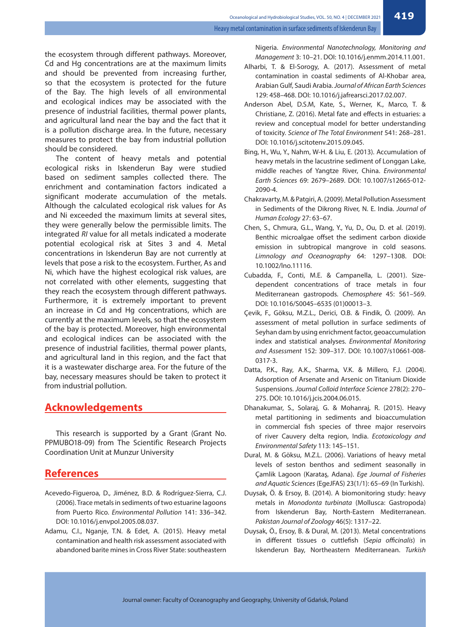the ecosystem through different pathways. Moreover, Cd and Hg concentrations are at the maximum limits and should be prevented from increasing further, so that the ecosystem is protected for the future of the Bay. The high levels of all environmental and ecological indices may be associated with the presence of industrial facilities, thermal power plants, and agricultural land near the bay and the fact that it is a pollution discharge area. In the future, necessary measures to protect the bay from industrial pollution should be considered.

The content of heavy metals and potential ecological risks in Iskenderun Bay were studied based on sediment samples collected there. The enrichment and contamination factors indicated a significant moderate accumulation of the metals. Although the calculated ecological risk values for As and Ni exceeded the maximum limits at several sites, they were generally below the permissible limits. The integrated *RI* value for all metals indicated a moderate potential ecological risk at Sites 3 and 4. Metal concentrations in Iskenderun Bay are not currently at levels that pose a risk to the ecosystem. Further, As and Ni, which have the highest ecological risk values, are not correlated with other elements, suggesting that they reach the ecosystem through different pathways. Furthermore, it is extremely important to prevent an increase in Cd and Hg concentrations, which are currently at the maximum levels, so that the ecosystem of the bay is protected. Moreover, high environmental and ecological indices can be associated with the presence of industrial facilities, thermal power plants, and agricultural land in this region, and the fact that it is a wastewater discharge area. For the future of the bay, necessary measures should be taken to protect it from industrial pollution.

## **Acknowledgements**

This research is supported by a Grant (Grant No. PPMUBO18-09) from The Scientific Research Projects Coordination Unit at Munzur University

# **References**

- Acevedo-Figueroa, D., Jiménez, B.D. & Rodríguez-Sierra, C.J. (2006). Trace metals in sediments of two estuarine lagoons from Puerto Rico. *Environmental Pollution* 141: 336–342. DOI: 10.1016/j.envpol.2005.08.037.
- Adamu, C.I., Nganje, T.N. & Edet, A. (2015). Heavy metal contamination and health risk assessment associated with abandoned barite mines in Cross River State: southeastern

Nigeria. *Environmental Nanotechnology, Monitoring and Management* 3: 10–21. DOI: 10.1016/j.enmm.2014.11.001.

- Alharbi, T. & El-Sorogy, A. (2017). Assessment of metal contamination in coastal sediments of Al-Khobar area, Arabian Gulf, Saudi Arabia. *Journal of African Earth Sciences* 129: 458–468. DOI: 10.1016/j.jafrearsci.2017.02.007.
- Anderson Abel, D.S.M, Kate, S., Werner, K., Marco, T. & Christiane, Z. (2016). Metal fate and effects in estuaries: a review and conceptual model for better understanding of toxicity. *Science of The Total Environment* 541: 268–281. DOI: 10.1016/j.scitotenv.2015.09.045.
- Bing, H., Wu, Y., Nahm, W-H. & Liu, E. (2013). Accumulation of heavy metals in the lacustrine sediment of Longgan Lake, middle reaches of Yangtze River, China. *Environmental Earth Sciences* 69: 2679–2689. DOI: 10.1007/s12665-012- 2090-4.
- Chakravarty, M. & Patgiri, A. (2009). Metal Pollution Assessment in Sediments of the Dikrong River, N. E. India. *Journal of Human Ecology* 27: 63–67.
- Chen, S., Chmura, G.L., Wang, Y., Yu, D., Ou, D. et al. (2019). Benthic microalgae offset the sediment carbon dioxide emission in subtropical mangrove in cold seasons. *Limnology and Oceanography* 64: 1297–1308. DOI: 10.1002/lno.11116.
- Cubadda, F., Conti, M.E. & Campanella, L. (2001). Sizedependent concentrations of trace metals in four Mediterranean gastropods. *Chemosphere* 45: 561–569. DOI: 10.1016/S0045–6535 (01)00013–3.
- Çevik, F., Göksu, M.Z.L., Derici, O.B. & Findik, Ö. (2009). An assessment of metal pollution in surface sediments of Seyhan dam by using enrichment factor, geoaccumulation index and statistical analyses. *Environmental Monitoring and Assessment* 152: 309–317. DOI: 10.1007/s10661-008- 0317-3.
- Datta, P.K., Ray, A.K., Sharma, V.K. & Millero, F.J. (2004). Adsorption of Arsenate and Arsenic on Titanium Dioxide Suspensions. *Journal Colloid Interface Science* 278(2): 270– 275. DOI: 10.1016/j.jcis.2004.06.015.
- Dhanakumar, S., Solaraj, G. & Mohanraj, R. (2015). Heavy metal partitioning in sediments and bioaccumulation in commercial fish species of three major reservoirs of river Cauvery delta region, India. *Ecotoxicology and Environmental Safety* 113: 145–151.
- Dural, M. & Göksu, M.Z.L. (2006). Variations of heavy metal levels of seston benthos and sediment seasonally in Çamlik Lagoon (Karataş, Adana). *Ege Journal of Fisheries and Aquatic Sciences* (EgeJFAS) 23(1/1): 65–69 (In Turkish).
- Duysak, Ö. & Ersoy, B. (2014). A biomonitoring study: heavy metals in *Monodonta turbinata* (Mollusca: Gastropoda) from Iskenderun Bay, North-Eastern Mediterranean. *Pakistan Journal of Zoology* 46(5): 1317–22.
- Duysak, Ö., Ersoy, B. & Dural, M. (2013). Metal concentrations in different tissues o cuttlefish (*Sepia officinalis*) in Iskenderun Bay, Northeastern Mediterranean. *Turkish*